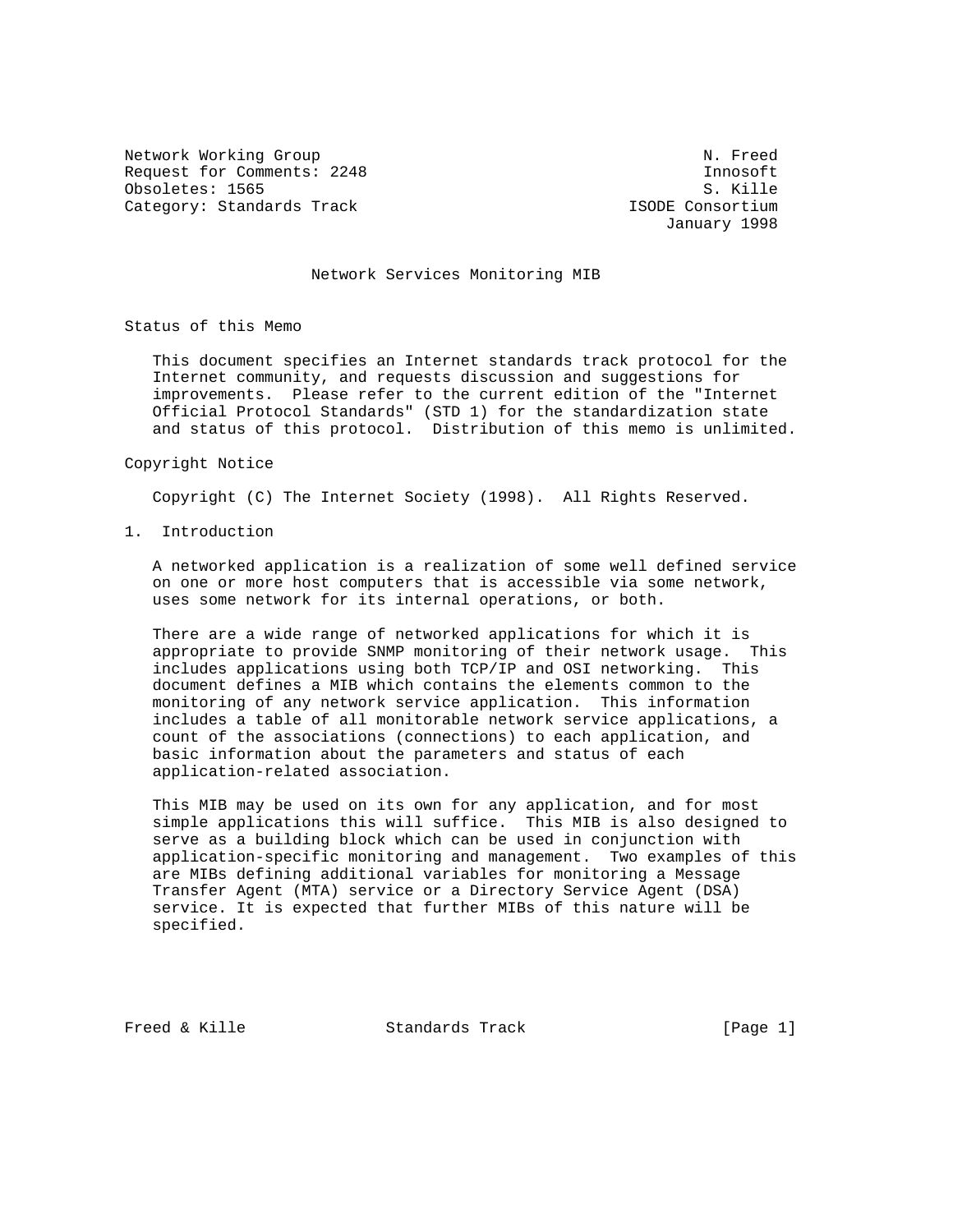Network Working Group Network Working Group Request for Comments: 2248 Innosoft<br>
Obsoletes: 1565 S. Kille Obsoletes: 1565 Category: Standards Track ISODE Consortium

January 1998

# Network Services Monitoring MIB

Status of this Memo

 This document specifies an Internet standards track protocol for the Internet community, and requests discussion and suggestions for improvements. Please refer to the current edition of the "Internet Official Protocol Standards" (STD 1) for the standardization state and status of this protocol. Distribution of this memo is unlimited.

#### Copyright Notice

Copyright (C) The Internet Society (1998). All Rights Reserved.

1. Introduction

 A networked application is a realization of some well defined service on one or more host computers that is accessible via some network, uses some network for its internal operations, or both.

 There are a wide range of networked applications for which it is appropriate to provide SNMP monitoring of their network usage. This includes applications using both TCP/IP and OSI networking. This document defines a MIB which contains the elements common to the monitoring of any network service application. This information includes a table of all monitorable network service applications, a count of the associations (connections) to each application, and basic information about the parameters and status of each application-related association.

 This MIB may be used on its own for any application, and for most simple applications this will suffice. This MIB is also designed to serve as a building block which can be used in conjunction with application-specific monitoring and management. Two examples of this are MIBs defining additional variables for monitoring a Message Transfer Agent (MTA) service or a Directory Service Agent (DSA) service. It is expected that further MIBs of this nature will be specified.

Freed & Kille  $S$  Standards Track [Page 1]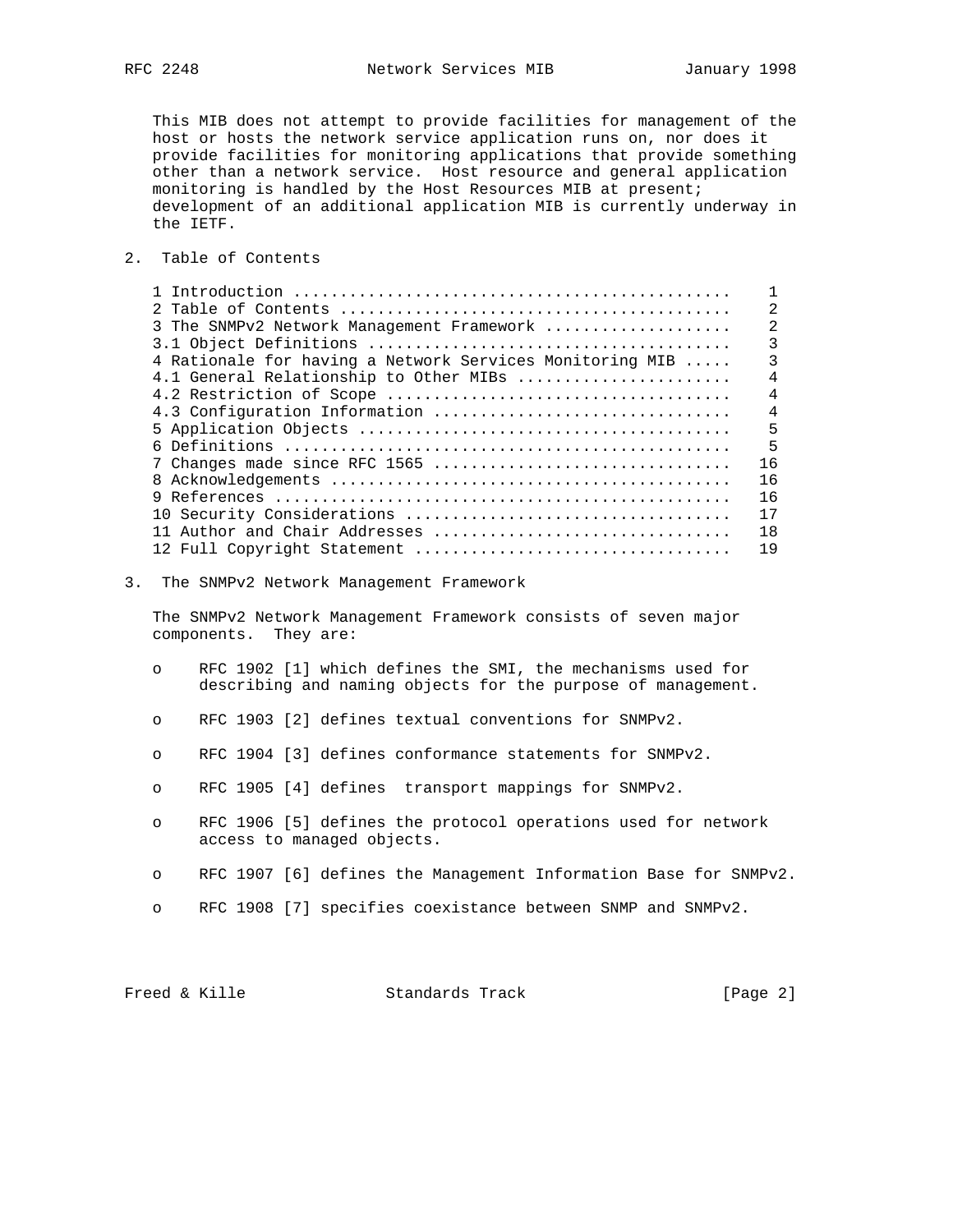This MIB does not attempt to provide facilities for management of the host or hosts the network service application runs on, nor does it provide facilities for monitoring applications that provide something other than a network service. Host resource and general application monitoring is handled by the Host Resources MIB at present; development of an additional application MIB is currently underway in the IETF.

2. Table of Contents

|                                                          | $\mathfrak{D}$ |
|----------------------------------------------------------|----------------|
| 3 The SNMPv2 Network Management Framework                | $\mathfrak{D}$ |
|                                                          | 3              |
| 4 Rationale for having a Network Services Monitoring MIB | ζ              |
| 4.1 General Relationship to Other MIBs                   | $\overline{4}$ |
|                                                          | $\overline{4}$ |
| 4.3 Configuration Information                            | $\overline{4}$ |
|                                                          | 5              |
|                                                          | $\overline{5}$ |
| 7 Changes made since RFC 1565                            | 16             |
|                                                          | 16             |
|                                                          | 16             |
|                                                          | 17             |
|                                                          | 18             |
| 12 Full Copyright Statement                              | 19             |

3. The SNMPv2 Network Management Framework

 The SNMPv2 Network Management Framework consists of seven major components. They are:

- o RFC 1902 [1] which defines the SMI, the mechanisms used for describing and naming objects for the purpose of management.
- o RFC 1903 [2] defines textual conventions for SNMPv2.
- o RFC 1904 [3] defines conformance statements for SNMPv2.
- o RFC 1905 [4] defines transport mappings for SNMPv2.
- o RFC 1906 [5] defines the protocol operations used for network access to managed objects.
- o RFC 1907 [6] defines the Management Information Base for SNMPv2.
- o RFC 1908 [7] specifies coexistance between SNMP and SNMPv2.

| Freed & Kille<br>Standards Track | [Page $2$ ] |
|----------------------------------|-------------|
|----------------------------------|-------------|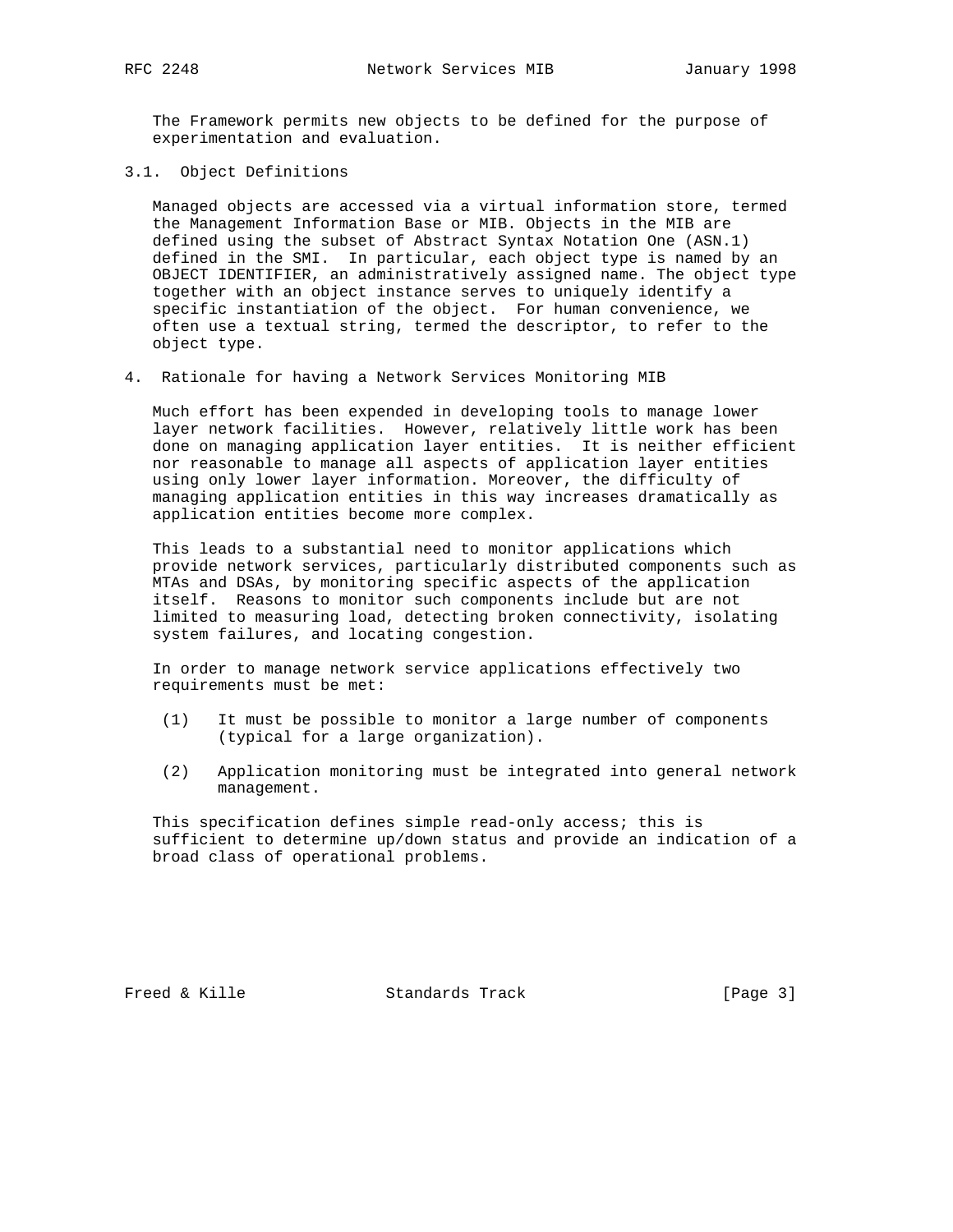The Framework permits new objects to be defined for the purpose of experimentation and evaluation.

3.1. Object Definitions

 Managed objects are accessed via a virtual information store, termed the Management Information Base or MIB. Objects in the MIB are defined using the subset of Abstract Syntax Notation One (ASN.1) defined in the SMI. In particular, each object type is named by an OBJECT IDENTIFIER, an administratively assigned name. The object type together with an object instance serves to uniquely identify a specific instantiation of the object. For human convenience, we often use a textual string, termed the descriptor, to refer to the object type.

4. Rationale for having a Network Services Monitoring MIB

 Much effort has been expended in developing tools to manage lower layer network facilities. However, relatively little work has been done on managing application layer entities. It is neither efficient nor reasonable to manage all aspects of application layer entities using only lower layer information. Moreover, the difficulty of managing application entities in this way increases dramatically as application entities become more complex.

 This leads to a substantial need to monitor applications which provide network services, particularly distributed components such as MTAs and DSAs, by monitoring specific aspects of the application itself. Reasons to monitor such components include but are not limited to measuring load, detecting broken connectivity, isolating system failures, and locating congestion.

 In order to manage network service applications effectively two requirements must be met:

- (1) It must be possible to monitor a large number of components (typical for a large organization).
- (2) Application monitoring must be integrated into general network management.

 This specification defines simple read-only access; this is sufficient to determine up/down status and provide an indication of a broad class of operational problems.

Freed & Kille **Standards Track** [Page 3]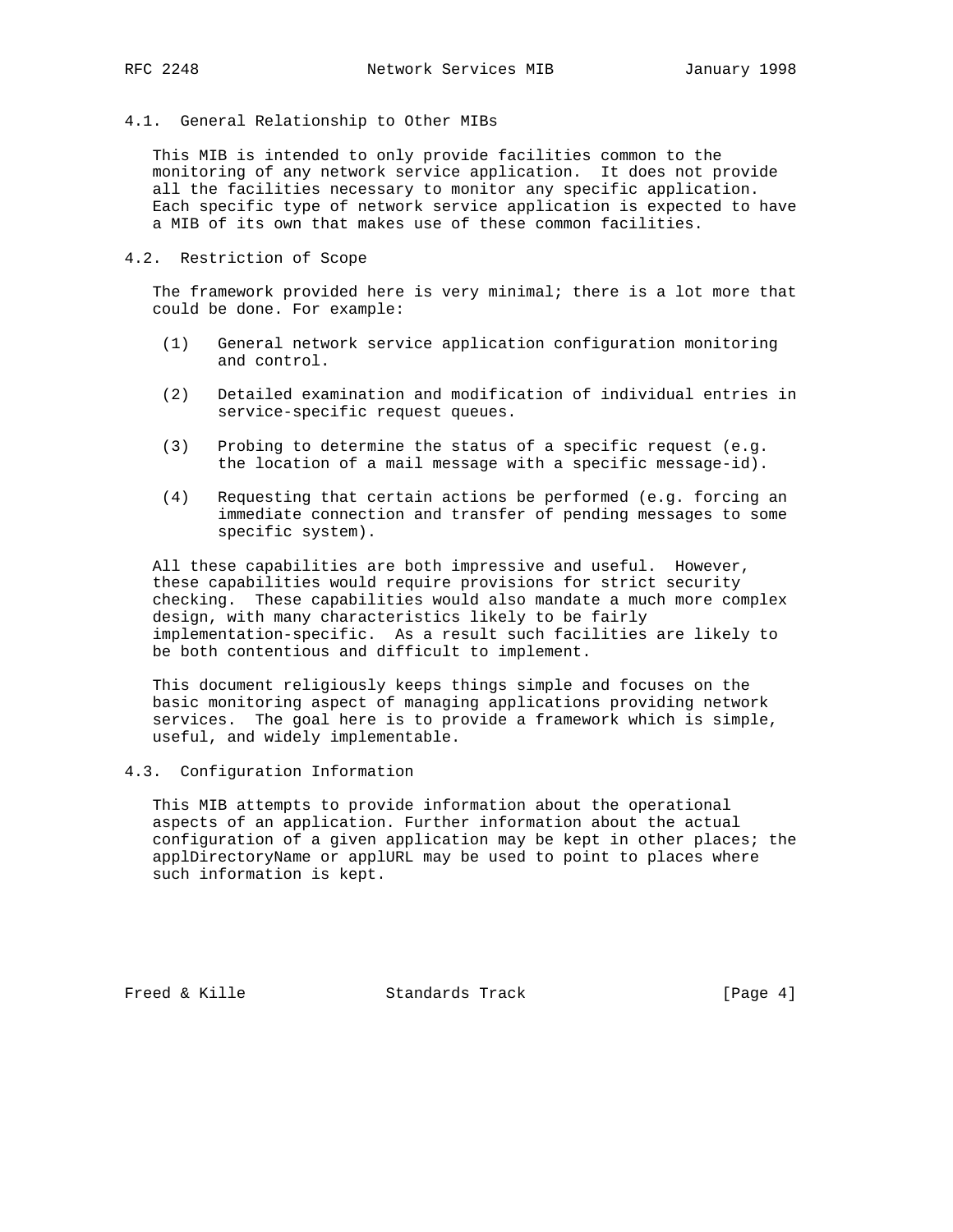# 4.1. General Relationship to Other MIBs

 This MIB is intended to only provide facilities common to the monitoring of any network service application. It does not provide all the facilities necessary to monitor any specific application. Each specific type of network service application is expected to have a MIB of its own that makes use of these common facilities.

# 4.2. Restriction of Scope

 The framework provided here is very minimal; there is a lot more that could be done. For example:

- (1) General network service application configuration monitoring and control.
- (2) Detailed examination and modification of individual entries in service-specific request queues.
- (3) Probing to determine the status of a specific request (e.g. the location of a mail message with a specific message-id).
- (4) Requesting that certain actions be performed (e.g. forcing an immediate connection and transfer of pending messages to some specific system).

 All these capabilities are both impressive and useful. However, these capabilities would require provisions for strict security checking. These capabilities would also mandate a much more complex design, with many characteristics likely to be fairly implementation-specific. As a result such facilities are likely to be both contentious and difficult to implement.

 This document religiously keeps things simple and focuses on the basic monitoring aspect of managing applications providing network services. The goal here is to provide a framework which is simple, useful, and widely implementable.

## 4.3. Configuration Information

 This MIB attempts to provide information about the operational aspects of an application. Further information about the actual configuration of a given application may be kept in other places; the applDirectoryName or applURL may be used to point to places where such information is kept.

Freed & Kille Standards Track [Page 4]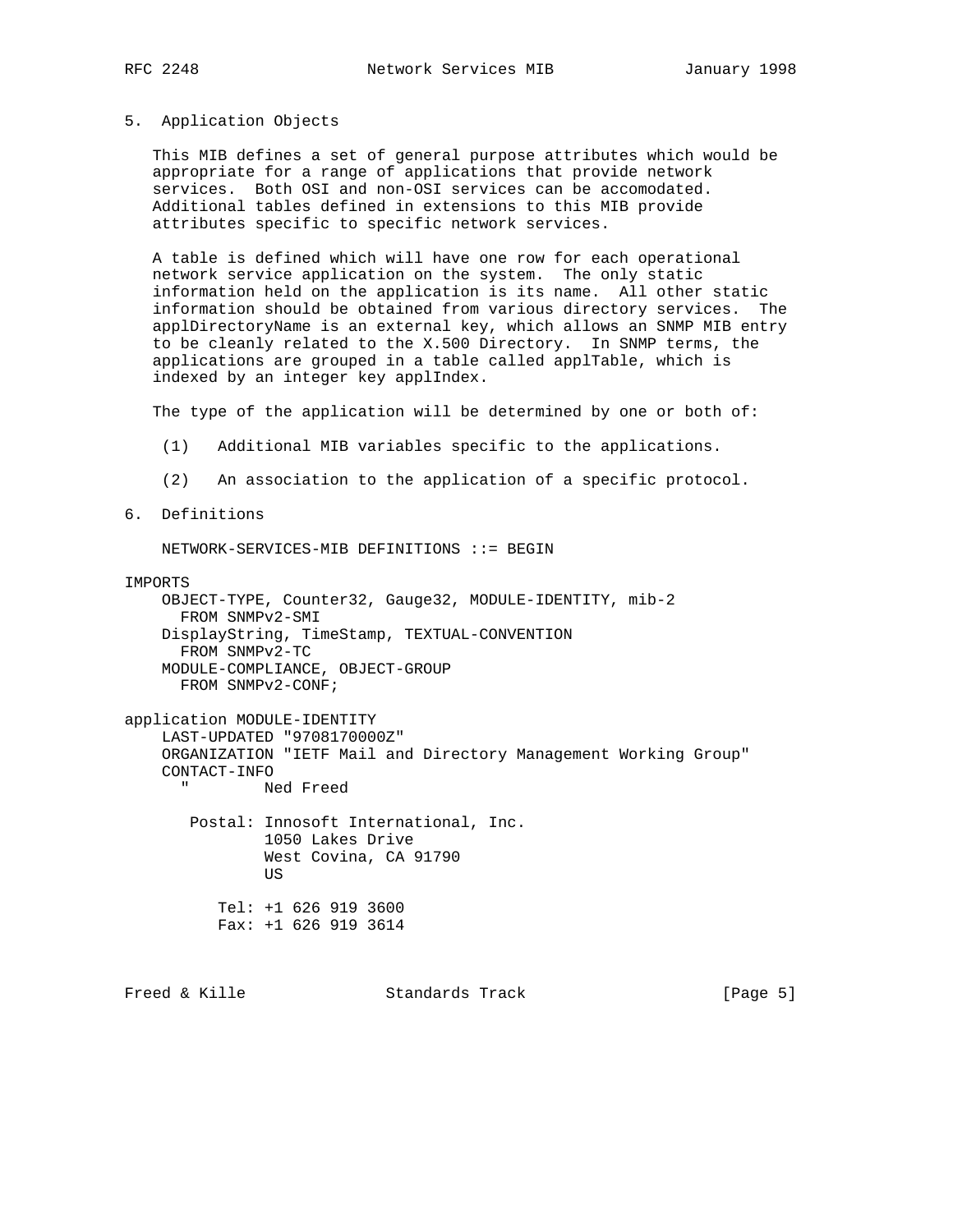### 5. Application Objects

 This MIB defines a set of general purpose attributes which would be appropriate for a range of applications that provide network services. Both OSI and non-OSI services can be accomodated. Additional tables defined in extensions to this MIB provide attributes specific to specific network services.

 A table is defined which will have one row for each operational network service application on the system. The only static information held on the application is its name. All other static information should be obtained from various directory services. The applDirectoryName is an external key, which allows an SNMP MIB entry to be cleanly related to the X.500 Directory. In SNMP terms, the applications are grouped in a table called applTable, which is indexed by an integer key applIndex.

The type of the application will be determined by one or both of:

- (1) Additional MIB variables specific to the applications.
- (2) An association to the application of a specific protocol.
- 6. Definitions

NETWORK-SERVICES-MIB DEFINITIONS ::= BEGIN

#### IMPORTS

```
 OBJECT-TYPE, Counter32, Gauge32, MODULE-IDENTITY, mib-2
  FROM SNMPv2-SMI
 DisplayString, TimeStamp, TEXTUAL-CONVENTION
  FROM SNMPv2-TC
 MODULE-COMPLIANCE, OBJECT-GROUP
  FROM SNMPv2-CONF;
```

```
application MODULE-IDENTITY
     LAST-UPDATED "9708170000Z"
     ORGANIZATION "IETF Mail and Directory Management Working Group"
     CONTACT-INFO
              Ned Freed
```
 Postal: Innosoft International, Inc. 1050 Lakes Drive West Covina, CA 91790 US Tel: +1 626 919 3600

```
 Fax: +1 626 919 3614
```
Freed & Kille Standards Track [Page 5]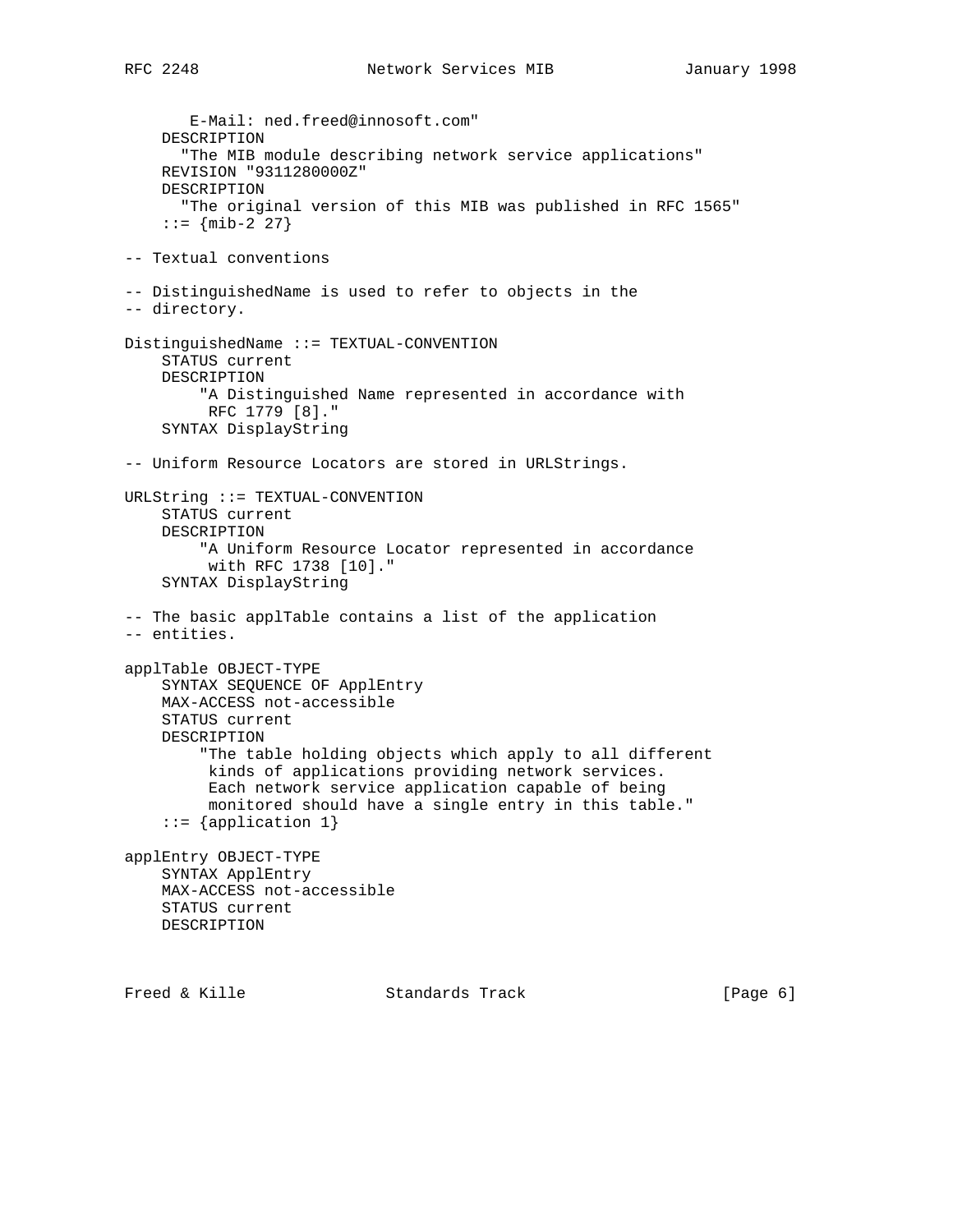E-Mail: ned.freed@innosoft.com" DESCRIPTION "The MIB module describing network service applications" REVISION "9311280000Z" DESCRIPTION "The original version of this MIB was published in RFC 1565"  $:= \{ \text{min-2} \; 27 \}$ -- Textual conventions -- DistinguishedName is used to refer to objects in the -- directory. DistinguishedName ::= TEXTUAL-CONVENTION STATUS current DESCRIPTION "A Distinguished Name represented in accordance with RFC 1779 [8]." SYNTAX DisplayString -- Uniform Resource Locators are stored in URLStrings. URLString ::= TEXTUAL-CONVENTION STATUS current DESCRIPTION "A Uniform Resource Locator represented in accordance with RFC 1738 [10]." SYNTAX DisplayString -- The basic applTable contains a list of the application -- entities. applTable OBJECT-TYPE SYNTAX SEQUENCE OF ApplEntry MAX-ACCESS not-accessible STATUS current DESCRIPTION "The table holding objects which apply to all different kinds of applications providing network services. Each network service application capable of being monitored should have a single entry in this table." ::= {application 1} applEntry OBJECT-TYPE SYNTAX ApplEntry MAX-ACCESS not-accessible STATUS current DESCRIPTION

Freed & Kille **Standards Track** [Page 6]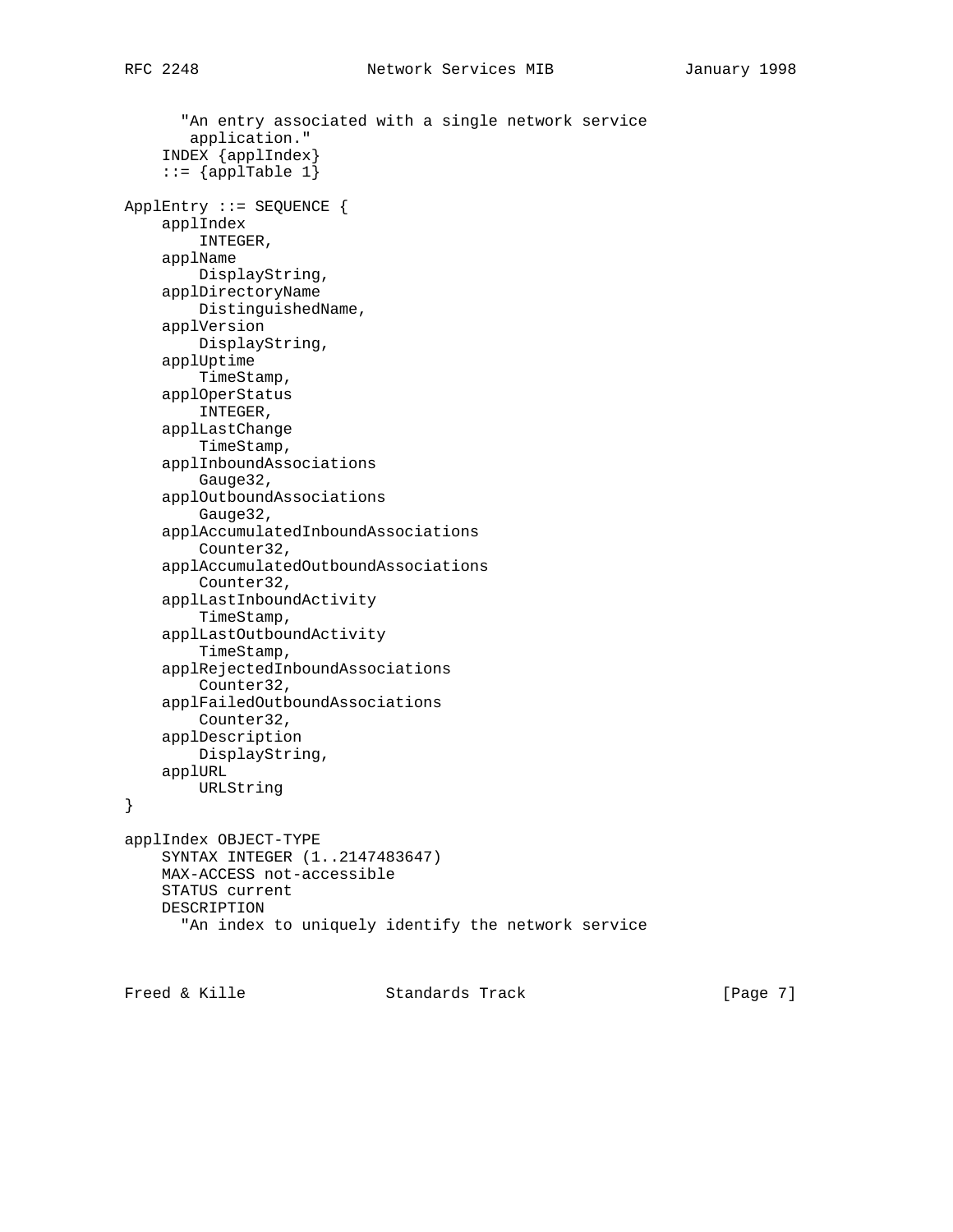```
 "An entry associated with a single network service
        application."
     INDEX {applIndex}
    ::= {applTable 1}
ApplEntry ::= SEQUENCE {
     applIndex
         INTEGER,
     applName
         DisplayString,
     applDirectoryName
         DistinguishedName,
     applVersion
         DisplayString,
     applUptime
         TimeStamp,
     applOperStatus
         INTEGER,
     applLastChange
         TimeStamp,
     applInboundAssociations
         Gauge32,
     applOutboundAssociations
         Gauge32,
     applAccumulatedInboundAssociations
         Counter32,
     applAccumulatedOutboundAssociations
         Counter32,
     applLastInboundActivity
         TimeStamp,
     applLastOutboundActivity
         TimeStamp,
     applRejectedInboundAssociations
         Counter32,
     applFailedOutboundAssociations
         Counter32,
     applDescription
         DisplayString,
     applURL
         URLString
}
applIndex OBJECT-TYPE
     SYNTAX INTEGER (1..2147483647)
     MAX-ACCESS not-accessible
     STATUS current
     DESCRIPTION
       "An index to uniquely identify the network service
```
Freed & Kille **Standards Track** [Page 7]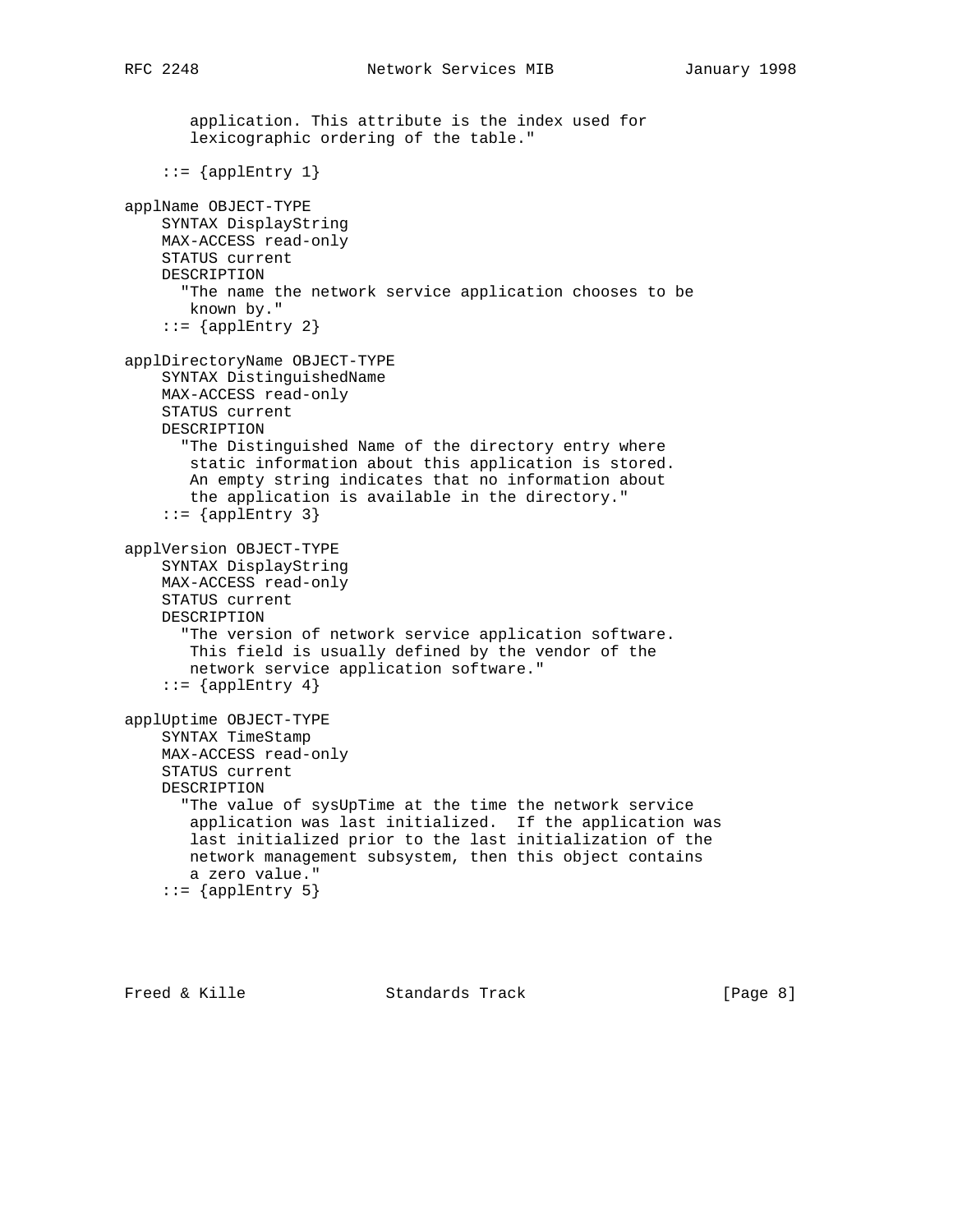```
 application. This attribute is the index used for
        lexicographic ordering of the table."
    ::= {applEntry 1}
applName OBJECT-TYPE
     SYNTAX DisplayString
     MAX-ACCESS read-only
     STATUS current
     DESCRIPTION
       "The name the network service application chooses to be
       known by."
    ::= {applEntry 2}
applDirectoryName OBJECT-TYPE
     SYNTAX DistinguishedName
     MAX-ACCESS read-only
     STATUS current
    DESCRIPTION
       "The Distinguished Name of the directory entry where
        static information about this application is stored.
       An empty string indicates that no information about
       the application is available in the directory."
    ::= {applEntry 3}
applVersion OBJECT-TYPE
     SYNTAX DisplayString
     MAX-ACCESS read-only
     STATUS current
     DESCRIPTION
       "The version of network service application software.
       This field is usually defined by the vendor of the
        network service application software."
    ::= {applEntry 4}
applUptime OBJECT-TYPE
     SYNTAX TimeStamp
     MAX-ACCESS read-only
     STATUS current
     DESCRIPTION
       "The value of sysUpTime at the time the network service
        application was last initialized. If the application was
        last initialized prior to the last initialization of the
        network management subsystem, then this object contains
        a zero value."
    ::= {applEntry 5}
```
Freed & Kille Standards Track [Page 8]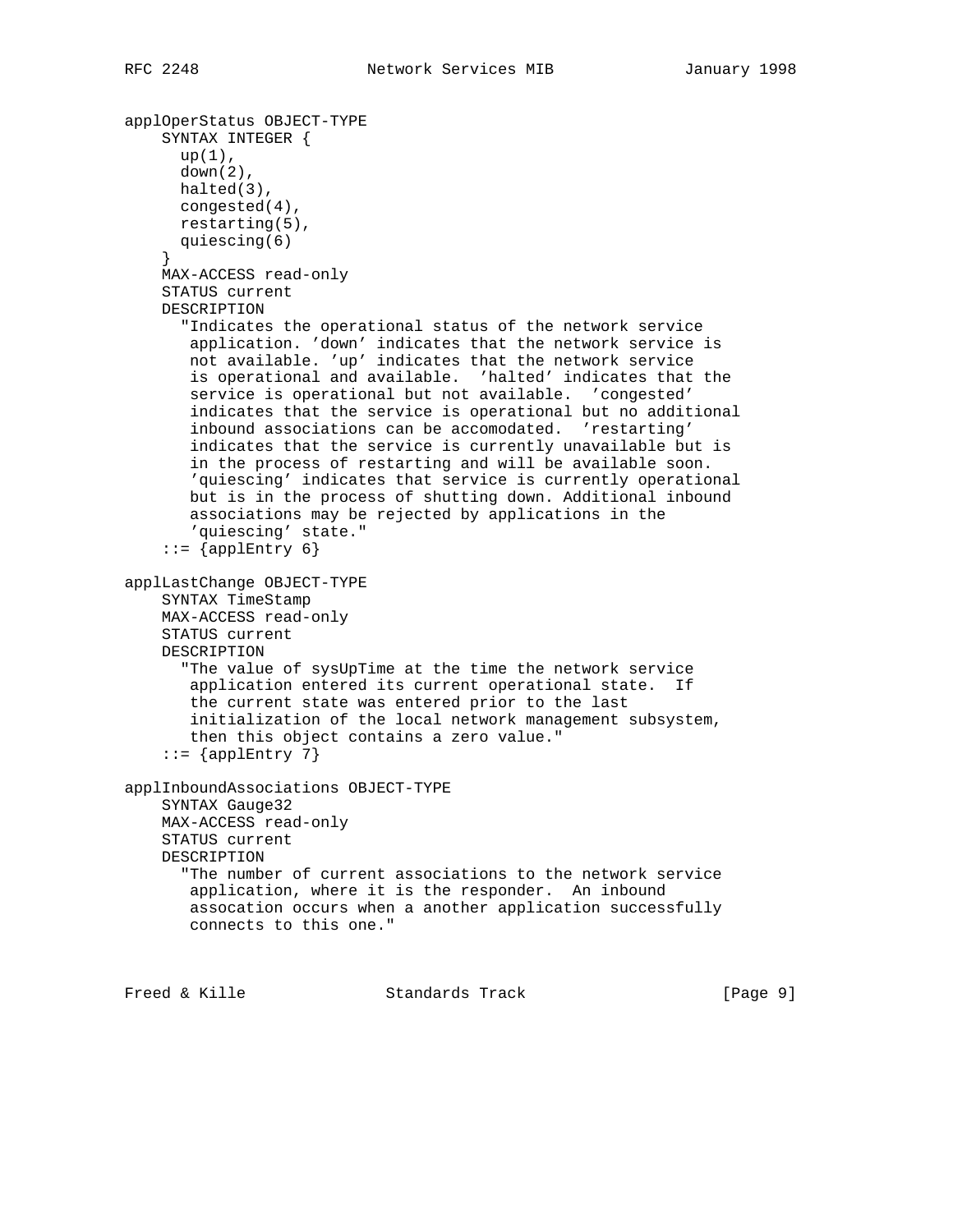```
applOperStatus OBJECT-TYPE
     SYNTAX INTEGER {
      up(1),
       down(2),
      halted(3),
      congested(4),
      restarting(5),
       quiescing(6)
     }
    MAX-ACCESS read-only
    STATUS current
    DESCRIPTION
       "Indicates the operational status of the network service
 application. 'down' indicates that the network service is
 not available. 'up' indicates that the network service
        is operational and available. 'halted' indicates that the
        service is operational but not available. 'congested'
        indicates that the service is operational but no additional
        inbound associations can be accomodated. 'restarting'
        indicates that the service is currently unavailable but is
        in the process of restarting and will be available soon.
        'quiescing' indicates that service is currently operational
       but is in the process of shutting down. Additional inbound
       associations may be rejected by applications in the
        'quiescing' state."
     ::= \{applEntry 6\}applLastChange OBJECT-TYPE
    SYNTAX TimeStamp
    MAX-ACCESS read-only
    STATUS current
    DESCRIPTION
       "The value of sysUpTime at the time the network service
       application entered its current operational state. If
        the current state was entered prior to the last
        initialization of the local network management subsystem,
        then this object contains a zero value."
    ::= {applEntry 7}
applInboundAssociations OBJECT-TYPE
    SYNTAX Gauge32
    MAX-ACCESS read-only
    STATUS current
    DESCRIPTION
       "The number of current associations to the network service
       application, where it is the responder. An inbound
       assocation occurs when a another application successfully
       connects to this one."
```
Freed & Kille Standards Track [Page 9]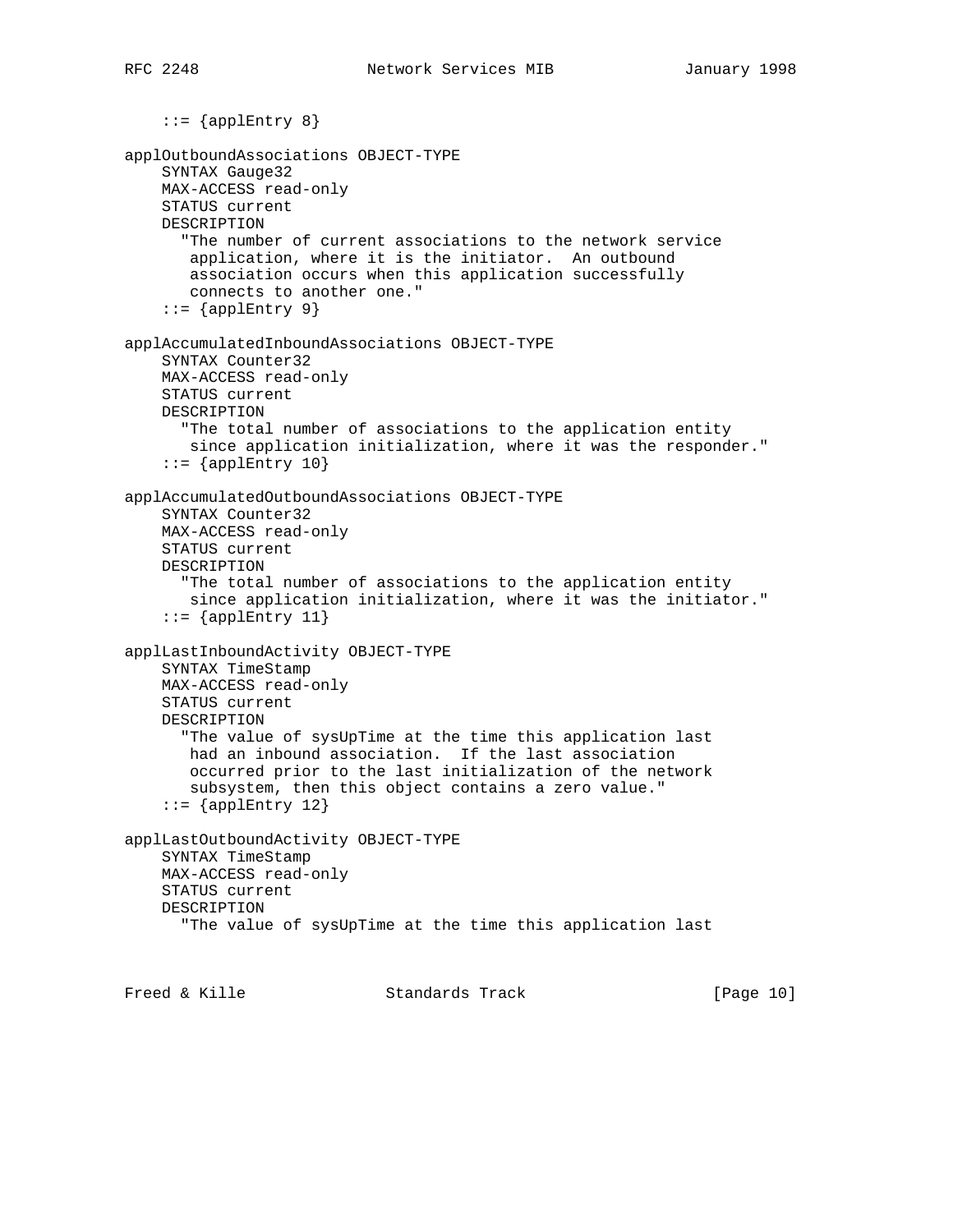```
::= {applEntry 8}
applOutboundAssociations OBJECT-TYPE
     SYNTAX Gauge32
     MAX-ACCESS read-only
     STATUS current
     DESCRIPTION
       "The number of current associations to the network service
        application, where it is the initiator. An outbound
        association occurs when this application successfully
        connects to another one."
    ::= {applEntry 9}
applAccumulatedInboundAssociations OBJECT-TYPE
     SYNTAX Counter32
     MAX-ACCESS read-only
     STATUS current
     DESCRIPTION
       "The total number of associations to the application entity
       since application initialization, where it was the responder."
    ::= {applEntry 10}
applAccumulatedOutboundAssociations OBJECT-TYPE
     SYNTAX Counter32
    MAX-ACCESS read-only
     STATUS current
    DESCRIPTION
       "The total number of associations to the application entity
        since application initialization, where it was the initiator."
    ::= {applEntry 11}
applLastInboundActivity OBJECT-TYPE
     SYNTAX TimeStamp
    MAX-ACCESS read-only
     STATUS current
    DESCRIPTION
       "The value of sysUpTime at the time this application last
        had an inbound association. If the last association
        occurred prior to the last initialization of the network
        subsystem, then this object contains a zero value."
    ::= {applEntry 12}
applLastOutboundActivity OBJECT-TYPE
     SYNTAX TimeStamp
     MAX-ACCESS read-only
     STATUS current
     DESCRIPTION
       "The value of sysUpTime at the time this application last
```
Freed & Kille Standards Track [Page 10]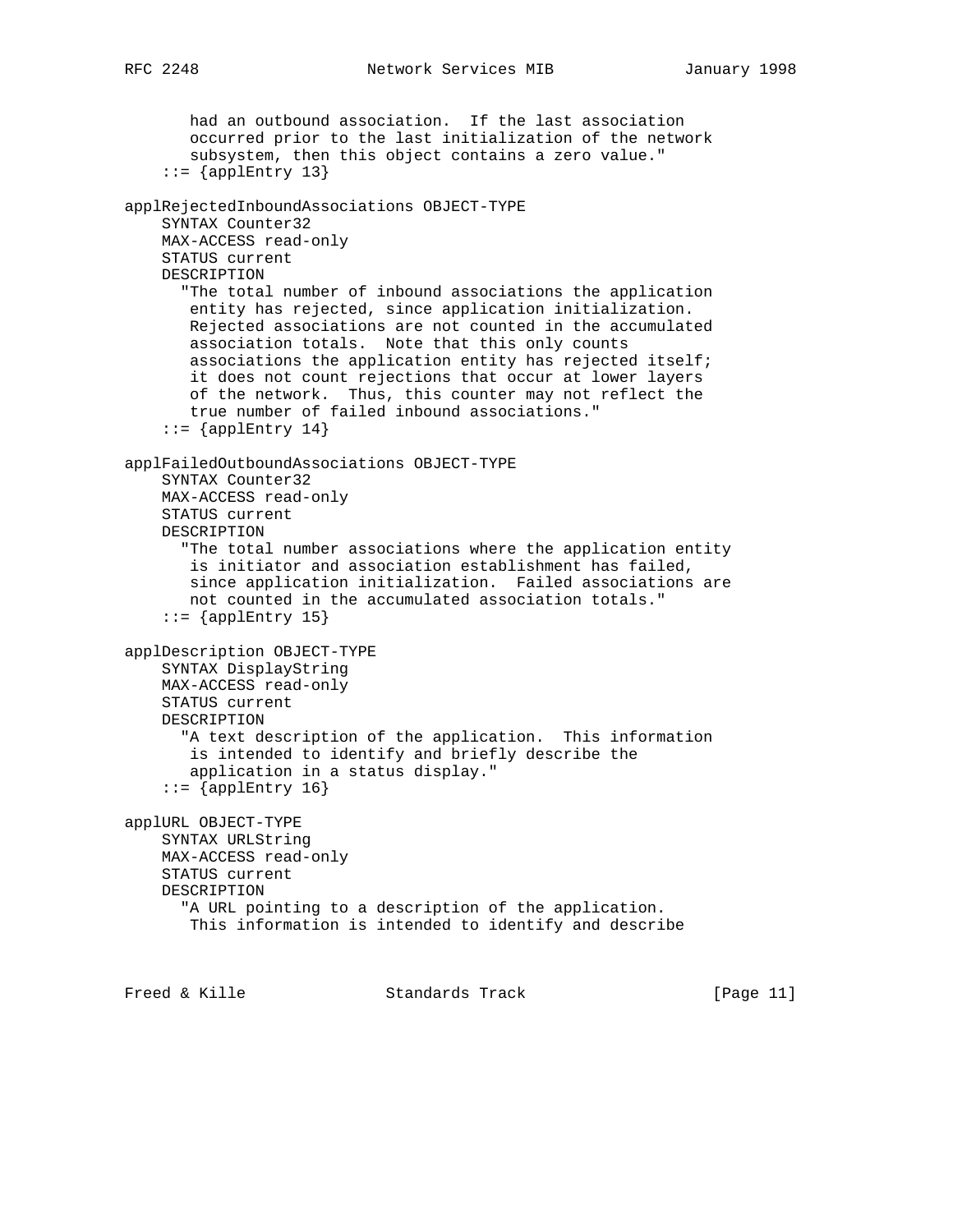```
 had an outbound association. If the last association
        occurred prior to the last initialization of the network
        subsystem, then this object contains a zero value."
    ::= {applEntry 13}
applRejectedInboundAssociations OBJECT-TYPE
     SYNTAX Counter32
     MAX-ACCESS read-only
     STATUS current
     DESCRIPTION
       "The total number of inbound associations the application
       entity has rejected, since application initialization.
       Rejected associations are not counted in the accumulated
       association totals. Note that this only counts
        associations the application entity has rejected itself;
        it does not count rejections that occur at lower layers
        of the network. Thus, this counter may not reflect the
        true number of failed inbound associations."
    ::= {applEntry 14}
applFailedOutboundAssociations OBJECT-TYPE
     SYNTAX Counter32
    MAX-ACCESS read-only
     STATUS current
     DESCRIPTION
       "The total number associations where the application entity
        is initiator and association establishment has failed,
       since application initialization. Failed associations are
       not counted in the accumulated association totals."
    ::= {applEntry 15}
applDescription OBJECT-TYPE
     SYNTAX DisplayString
     MAX-ACCESS read-only
     STATUS current
     DESCRIPTION
       "A text description of the application. This information
        is intended to identify and briefly describe the
        application in a status display."
    ::= {applEntry 16}
applURL OBJECT-TYPE
     SYNTAX URLString
    MAX-ACCESS read-only
    STATUS current
    DESCRIPTION
       "A URL pointing to a description of the application.
       This information is intended to identify and describe
Freed & Kille                 Standards Track                   [Page 11]
```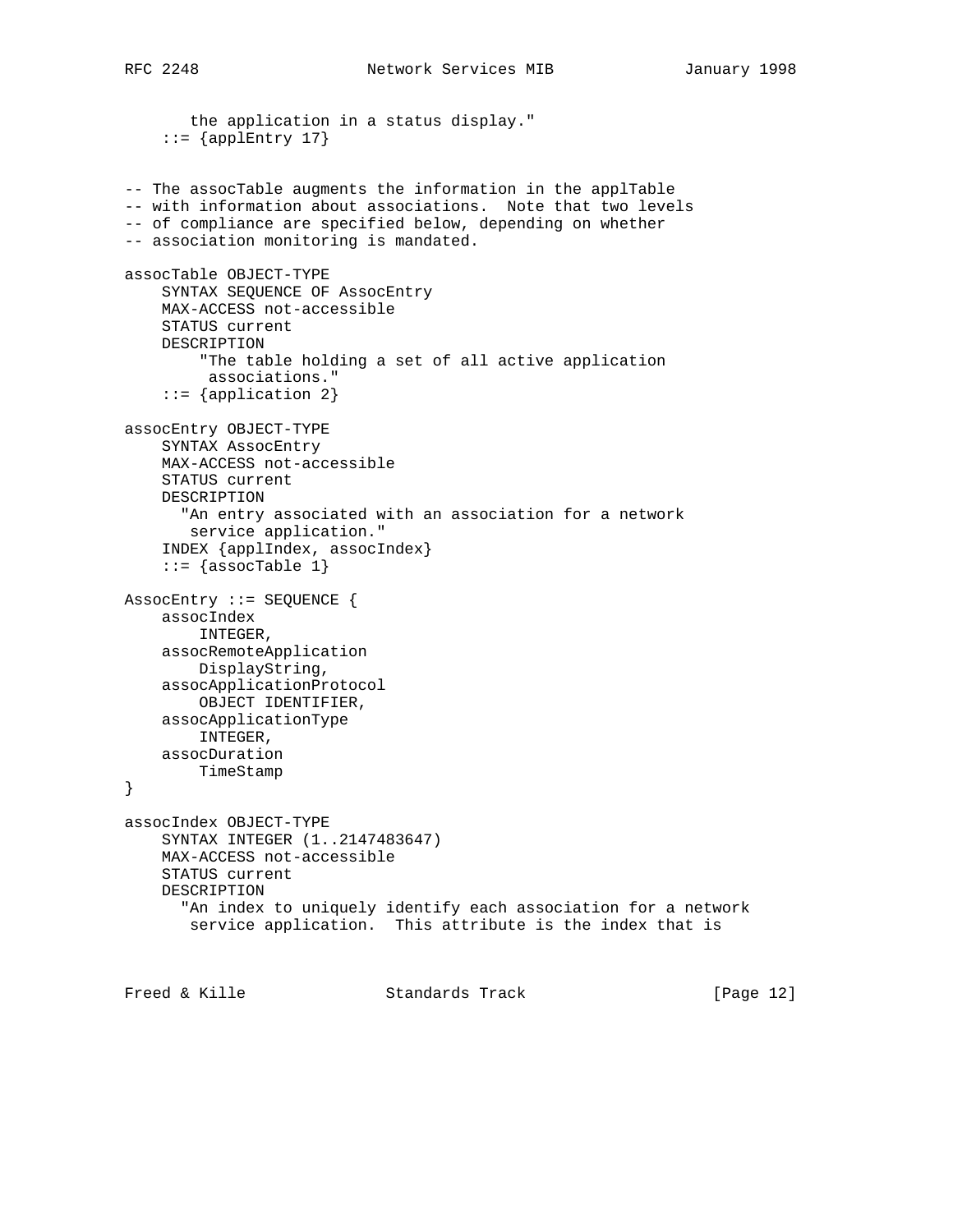```
 the application in a status display."
    ::= {applEntry 17}
-- The assocTable augments the information in the applTable
-- with information about associations. Note that two levels
-- of compliance are specified below, depending on whether
-- association monitoring is mandated.
assocTable OBJECT-TYPE
     SYNTAX SEQUENCE OF AssocEntry
    MAX-ACCESS not-accessible
     STATUS current
    DESCRIPTION
         "The table holding a set of all active application
         associations."
     ::= {application 2}
assocEntry OBJECT-TYPE
    SYNTAX AssocEntry
    MAX-ACCESS not-accessible
    STATUS current
    DESCRIPTION
       "An entry associated with an association for a network
       service application."
     INDEX {applIndex, assocIndex}
    ::= {assocTable 1}
AssocEntry ::= SEQUENCE {
    assocIndex
        INTEGER,
     assocRemoteApplication
       DisplayString,
     assocApplicationProtocol
        OBJECT IDENTIFIER,
     assocApplicationType
        INTEGER,
    assocDuration
        TimeStamp
}
assocIndex OBJECT-TYPE
    SYNTAX INTEGER (1..2147483647)
    MAX-ACCESS not-accessible
    STATUS current
    DESCRIPTION
       "An index to uniquely identify each association for a network
       service application. This attribute is the index that is
Freed & Kille Standards Track [Page 12]
```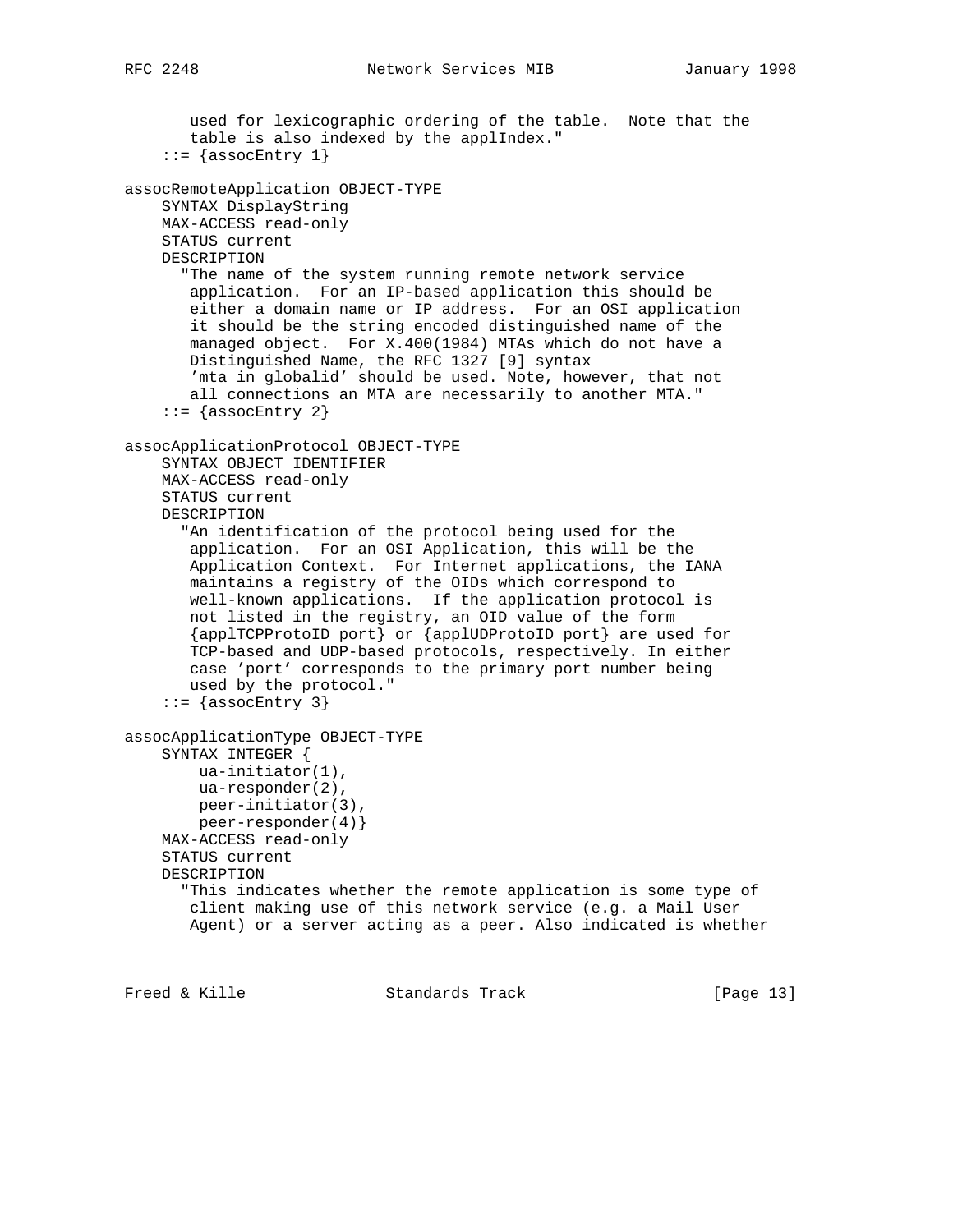```
 used for lexicographic ordering of the table. Note that the
        table is also indexed by the applIndex."
    ::= {assocEntry 1}
assocRemoteApplication OBJECT-TYPE
    SYNTAX DisplayString
    MAX-ACCESS read-only
    STATUS current
    DESCRIPTION
       "The name of the system running remote network service
       application. For an IP-based application this should be
        either a domain name or IP address. For an OSI application
        it should be the string encoded distinguished name of the
       managed object. For X.400(1984) MTAs which do not have a
       Distinguished Name, the RFC 1327 [9] syntax
        'mta in globalid' should be used. Note, however, that not
       all connections an MTA are necessarily to another MTA."
    ::= {assocEntry 2}
assocApplicationProtocol OBJECT-TYPE
    SYNTAX OBJECT IDENTIFIER
    MAX-ACCESS read-only
    STATUS current
    DESCRIPTION
       "An identification of the protocol being used for the
        application. For an OSI Application, this will be the
       Application Context. For Internet applications, the IANA
       maintains a registry of the OIDs which correspond to
       well-known applications. If the application protocol is
       not listed in the registry, an OID value of the form
       {applTCPProtoID port} or {applUDProtoID port} are used for
       TCP-based and UDP-based protocols, respectively. In either
       case 'port' corresponds to the primary port number being
       used by the protocol."
    ::= {assocEntry 3}
assocApplicationType OBJECT-TYPE
     SYNTAX INTEGER {
        ua-initiator(1),
        ua-responder(2),
        peer-initiator(3),
        peer-responder(4)}
    MAX-ACCESS read-only
     STATUS current
    DESCRIPTION
       "This indicates whether the remote application is some type of
       client making use of this network service (e.g. a Mail User
       Agent) or a server acting as a peer. Also indicated is whether
```
Freed & Kille Standards Track [Page 13]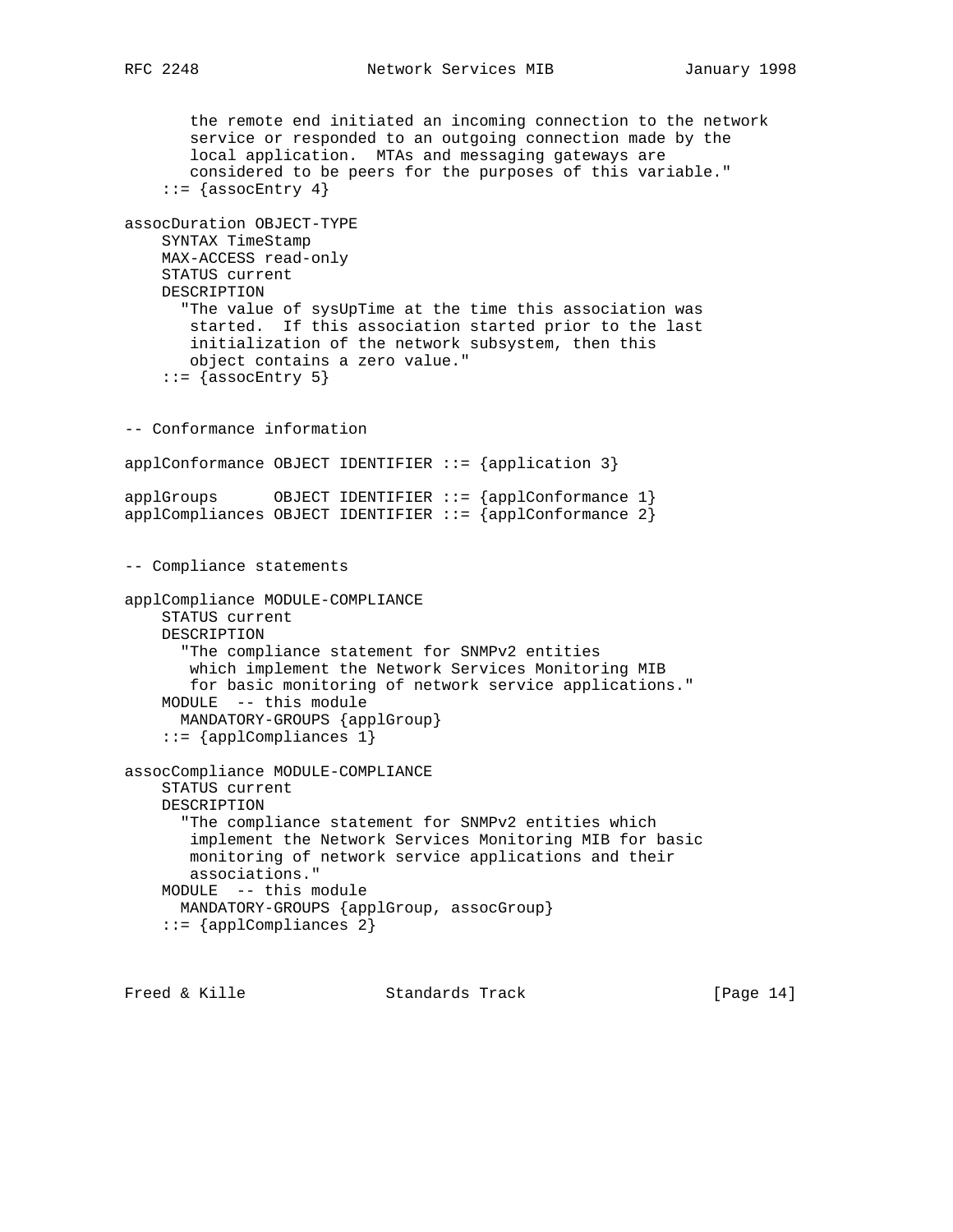```
 the remote end initiated an incoming connection to the network
        service or responded to an outgoing connection made by the
        local application. MTAs and messaging gateways are
        considered to be peers for the purposes of this variable."
    ::= {assocEntry 4}
assocDuration OBJECT-TYPE
    SYNTAX TimeStamp
    MAX-ACCESS read-only
    STATUS current
    DESCRIPTION
       "The value of sysUpTime at the time this association was
       started. If this association started prior to the last
        initialization of the network subsystem, then this
       object contains a zero value."
    ::= {assocEntry 5}
-- Conformance information
applConformance OBJECT IDENTIFIER ::= {application 3}
applGroups OBJECT IDENTIFIER :: = {applConformance 1}applCompliances OBJECT IDENTIFIER ::= {applConformance 2}
-- Compliance statements
applCompliance MODULE-COMPLIANCE
    STATUS current
    DESCRIPTION
       "The compliance statement for SNMPv2 entities
       which implement the Network Services Monitoring MIB
       for basic monitoring of network service applications."
    MODULE -- this module
      MANDATORY-GROUPS {applGroup}
     ::= {applCompliances 1}
assocCompliance MODULE-COMPLIANCE
     STATUS current
    DESCRIPTION
       "The compliance statement for SNMPv2 entities which
       implement the Network Services Monitoring MIB for basic
       monitoring of network service applications and their
       associations."
    MODULE -- this module
      MANDATORY-GROUPS {applGroup, assocGroup}
     ::= {applCompliances 2}
```
Freed & Kille Standards Track [Page 14]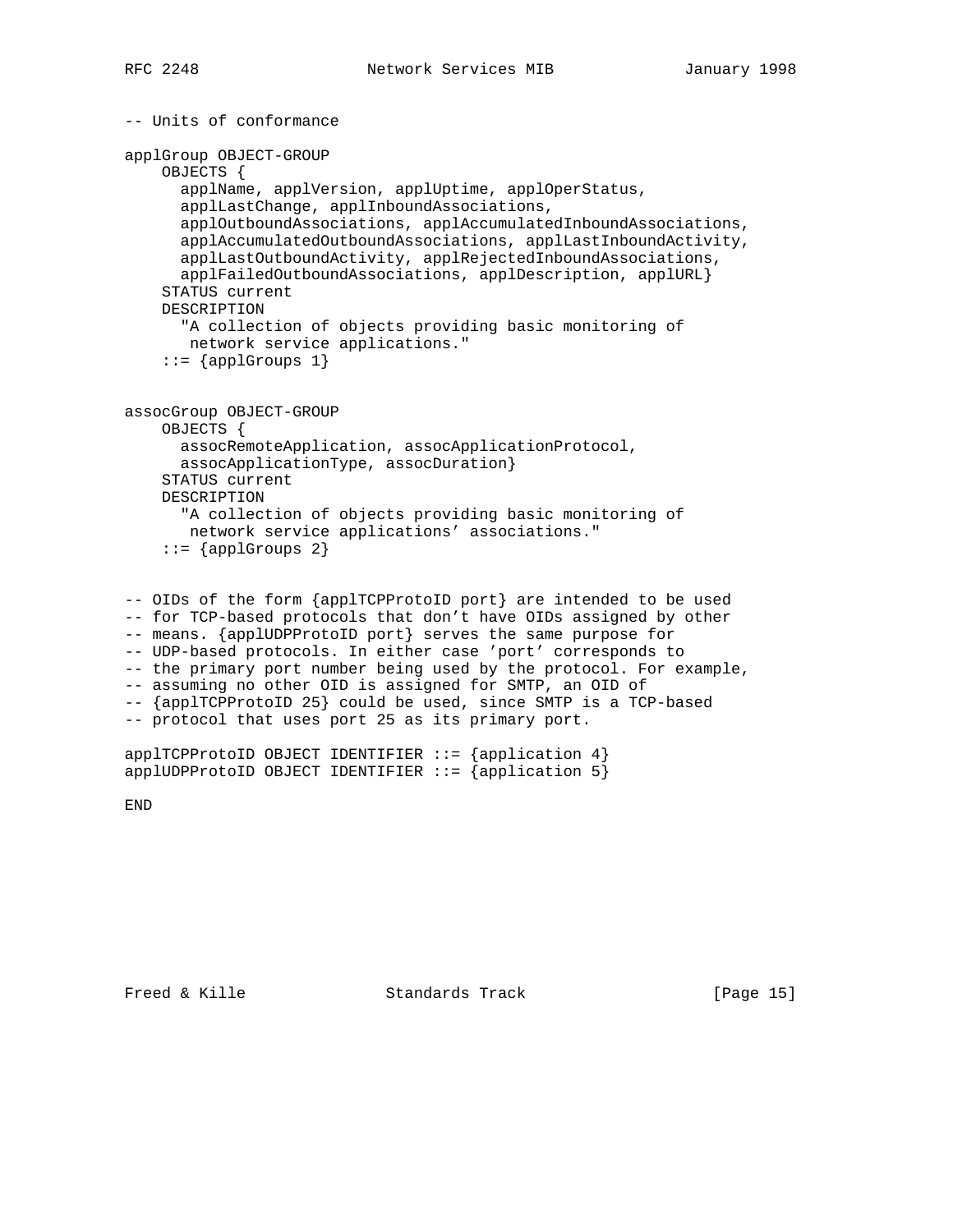```
-- Units of conformance
applGroup OBJECT-GROUP
     OBJECTS {
       applName, applVersion, applUptime, applOperStatus,
       applLastChange, applInboundAssociations,
       applOutboundAssociations, applAccumulatedInboundAssociations,
       applAccumulatedOutboundAssociations, applLastInboundActivity,
       applLastOutboundActivity, applRejectedInboundAssociations,
       applFailedOutboundAssociations, applDescription, applURL}
     STATUS current
     DESCRIPTION
       "A collection of objects providing basic monitoring of
       network service applications."
    ::= {applGroups 1}
assocGroup OBJECT-GROUP
     OBJECTS {
      assocRemoteApplication, assocApplicationProtocol,
      assocApplicationType, assocDuration}
     STATUS current
     DESCRIPTION
       "A collection of objects providing basic monitoring of
       network service applications' associations."
     ::= \{app1Groups 2\}-- OIDs of the form {applTCPProtoID port} are intended to be used
-- for TCP-based protocols that don't have OIDs assigned by other
-- means. {applUDPProtoID port} serves the same purpose for
-- UDP-based protocols. In either case 'port' corresponds to
```
-- the primary port number being used by the protocol. For example, -- assuming no other OID is assigned for SMTP, an OID of -- {applTCPProtoID 25} could be used, since SMTP is a TCP-based -- protocol that uses port 25 as its primary port.

 $app1TCPProtocolD OBJECT IDENTIFIER ::= {app1ication 4}$ applUDPProtoID OBJECT IDENTIFIER  $::=$  {application 5}

END

Freed & Kille Standards Track [Page 15]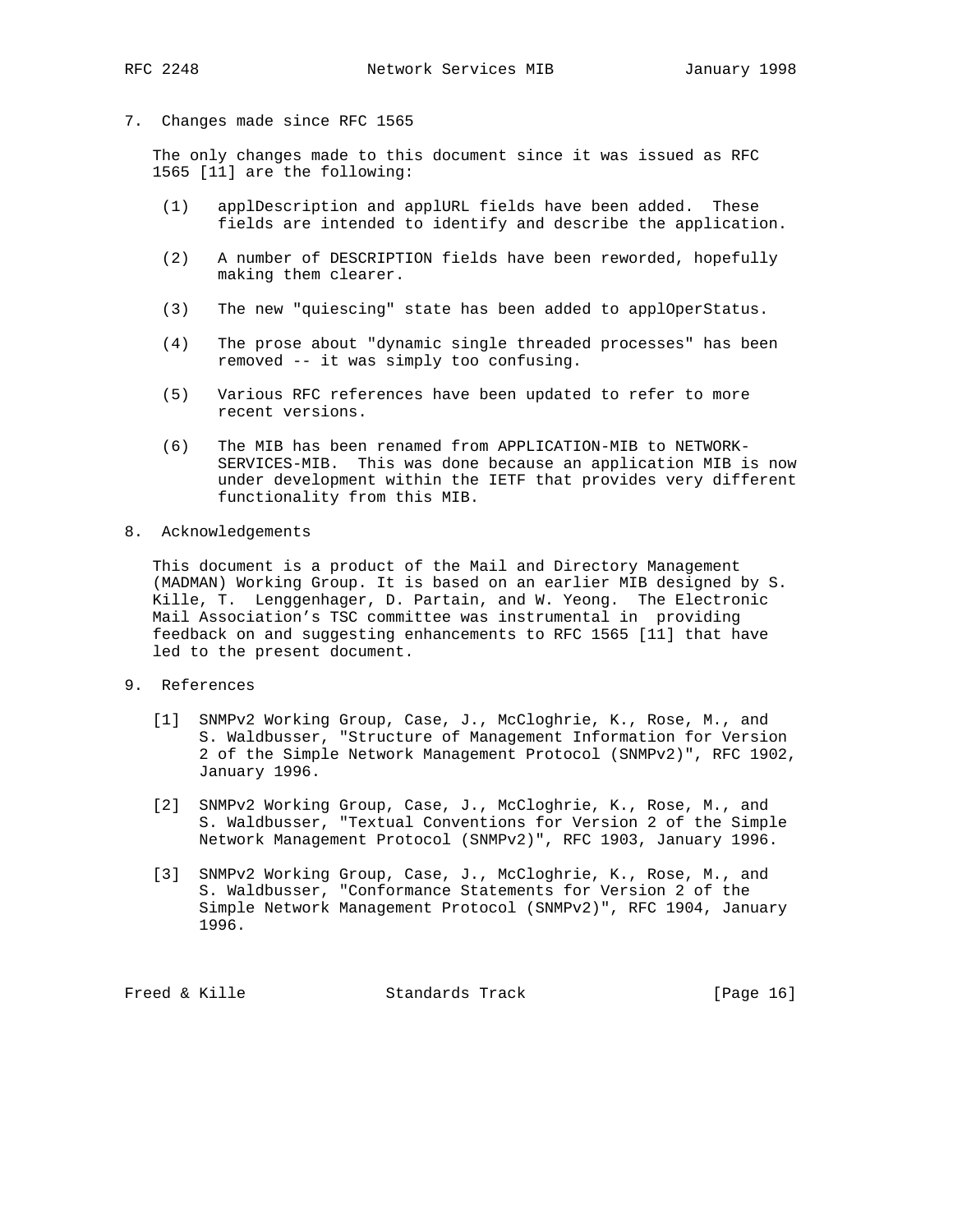7. Changes made since RFC 1565

 The only changes made to this document since it was issued as RFC 1565 [11] are the following:

- (1) applDescription and applURL fields have been added. These fields are intended to identify and describe the application.
- (2) A number of DESCRIPTION fields have been reworded, hopefully making them clearer.
- (3) The new "quiescing" state has been added to applOperStatus.
- (4) The prose about "dynamic single threaded processes" has been removed -- it was simply too confusing.
- (5) Various RFC references have been updated to refer to more recent versions.
- (6) The MIB has been renamed from APPLICATION-MIB to NETWORK- SERVICES-MIB. This was done because an application MIB is now under development within the IETF that provides very different functionality from this MIB.
- 8. Acknowledgements

 This document is a product of the Mail and Directory Management (MADMAN) Working Group. It is based on an earlier MIB designed by S. Kille, T. Lenggenhager, D. Partain, and W. Yeong. The Electronic Mail Association's TSC committee was instrumental in providing feedback on and suggesting enhancements to RFC 1565 [11] that have led to the present document.

- 9. References
	- [1] SNMPv2 Working Group, Case, J., McCloghrie, K., Rose, M., and S. Waldbusser, "Structure of Management Information for Version 2 of the Simple Network Management Protocol (SNMPv2)", RFC 1902, January 1996.
	- [2] SNMPv2 Working Group, Case, J., McCloghrie, K., Rose, M., and S. Waldbusser, "Textual Conventions for Version 2 of the Simple Network Management Protocol (SNMPv2)", RFC 1903, January 1996.
	- [3] SNMPv2 Working Group, Case, J., McCloghrie, K., Rose, M., and S. Waldbusser, "Conformance Statements for Version 2 of the Simple Network Management Protocol (SNMPv2)", RFC 1904, January 1996.

Freed & Kille **Standards Track** [Page 16]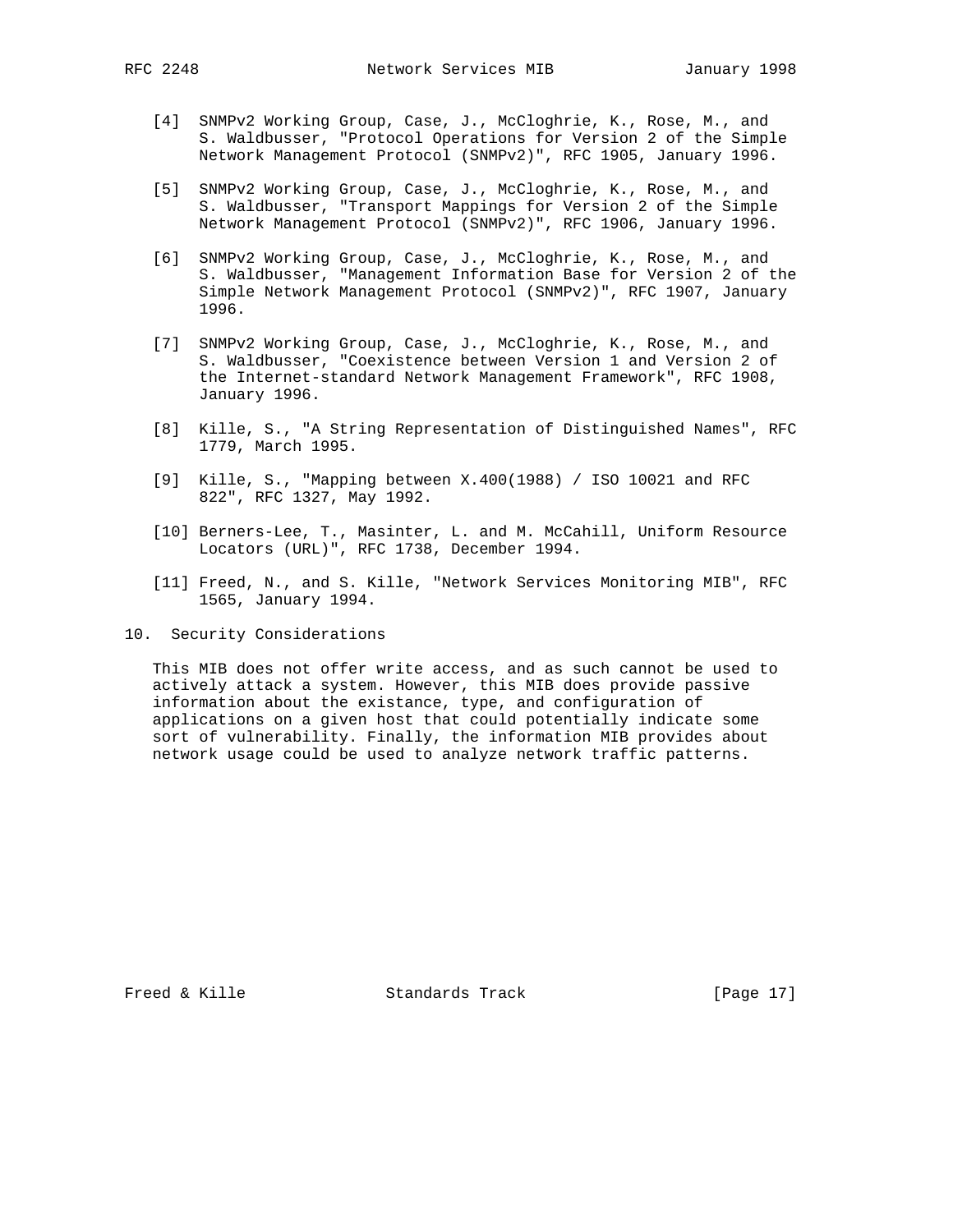- [4] SNMPv2 Working Group, Case, J., McCloghrie, K., Rose, M., and S. Waldbusser, "Protocol Operations for Version 2 of the Simple Network Management Protocol (SNMPv2)", RFC 1905, January 1996.
- [5] SNMPv2 Working Group, Case, J., McCloghrie, K., Rose, M., and S. Waldbusser, "Transport Mappings for Version 2 of the Simple Network Management Protocol (SNMPv2)", RFC 1906, January 1996.
- [6] SNMPv2 Working Group, Case, J., McCloghrie, K., Rose, M., and S. Waldbusser, "Management Information Base for Version 2 of the Simple Network Management Protocol (SNMPv2)", RFC 1907, January 1996.
- [7] SNMPv2 Working Group, Case, J., McCloghrie, K., Rose, M., and S. Waldbusser, "Coexistence between Version 1 and Version 2 of the Internet-standard Network Management Framework", RFC 1908, January 1996.
- [8] Kille, S., "A String Representation of Distinguished Names", RFC 1779, March 1995.
- [9] Kille, S., "Mapping between X.400(1988) / ISO 10021 and RFC 822", RFC 1327, May 1992.
- [10] Berners-Lee, T., Masinter, L. and M. McCahill, Uniform Resource Locators (URL)", RFC 1738, December 1994.
- [11] Freed, N., and S. Kille, "Network Services Monitoring MIB", RFC 1565, January 1994.

10. Security Considerations

 This MIB does not offer write access, and as such cannot be used to actively attack a system. However, this MIB does provide passive information about the existance, type, and configuration of applications on a given host that could potentially indicate some sort of vulnerability. Finally, the information MIB provides about network usage could be used to analyze network traffic patterns.

Freed & Kille **Standards Track** [Page 17]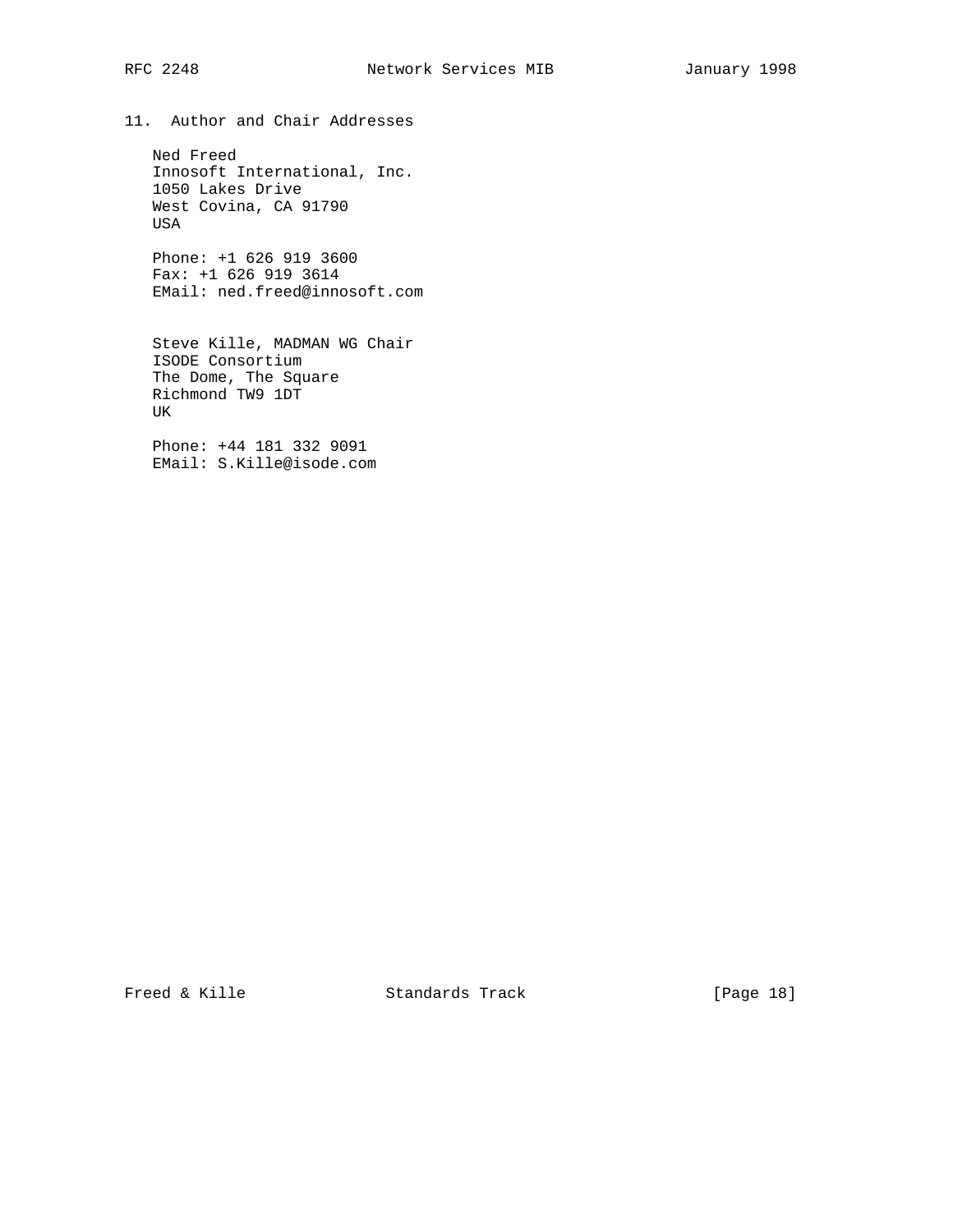11. Author and Chair Addresses

 Ned Freed Innosoft International, Inc. 1050 Lakes Drive West Covina, CA 91790 USA

 Phone: +1 626 919 3600 Fax: +1 626 919 3614 EMail: ned.freed@innosoft.com

 Steve Kille, MADMAN WG Chair ISODE Consortium The Dome, The Square Richmond TW9 1DT UK

 Phone: +44 181 332 9091 EMail: S.Kille@isode.com

Freed & Kille **Standards Track** [Page 18]